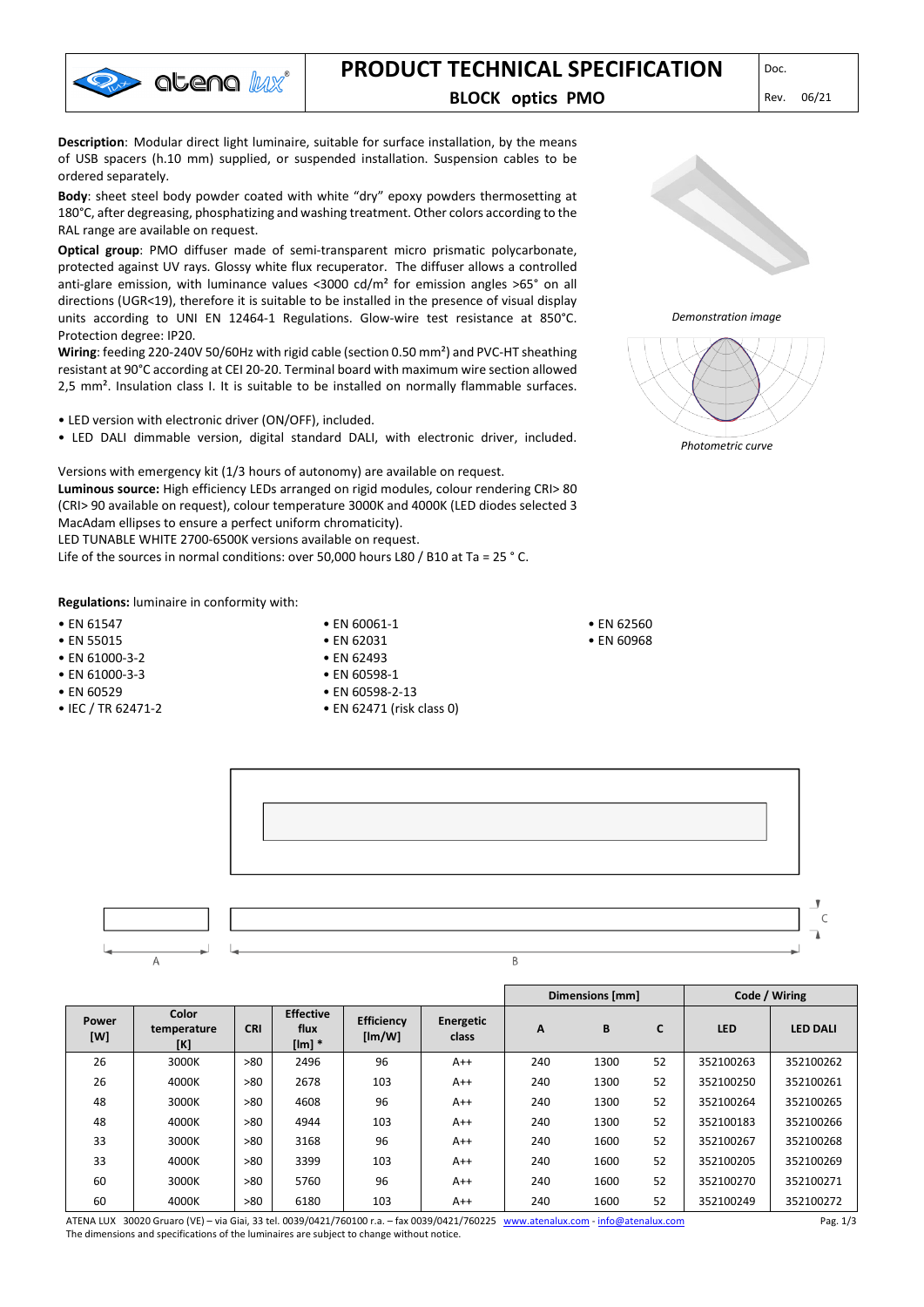

**Description**: Modular direct light luminaire, suitable for surface installation, by the means of USB spacers (h.10 mm) supplied, or suspended installation. Suspension cables to be ordered separately.

**Body**: sheet steel body powder coated with white "dry" epoxy powders thermosetting at 180°C, after degreasing, phosphatizing and washing treatment. Other colors according to the RAL range are available on request.

**Optical group**: PMO diffuser made of semi-transparent micro prismatic polycarbonate, protected against UV rays. Glossy white flux recuperator. The diffuser allows a controlled anti-glare emission, with luminance values <3000 cd/ $m<sup>2</sup>$  for emission angles >65 $^{\circ}$  on all directions (UGR<19), therefore it is suitable to be installed in the presence of visual display units according to UNI EN 12464-1 Regulations. Glow-wire test resistance at 850°C. Protection degree: IP20.

**Wiring**: feeding 220-240V 50/60Hz with rigid cable (section 0.50 mm²) and PVC-HT sheathing resistant at 90°C according at CEI 20-20. Terminal board with maximum wire section allowed 2,5 mm². Insulation class I. It is suitable to be installed on normally flammable surfaces.

- LED version with electronic driver (ON/OFF), included.
- LED DALI dimmable version, digital standard DALI, with electronic driver, included.

Versions with emergency kit (1/3 hours of autonomy) are available on request.

**Luminous source:** High efficiency LEDs arranged on rigid modules, colour rendering CRI> 80 (CRI> 90 available on request), colour temperature 3000K and 4000K (LED diodes selected 3 MacAdam ellipses to ensure a perfect uniform chromaticity).

LED TUNABLE WHITE 2700-6500K versions available on request.

Life of the sources in normal conditions: over 50,000 hours L80 / B10 at Ta = 25 ° C.

**Regulations:** luminaire in conformity with:

- EN 61547
- EN 55015
- EN 61000-3-2
- EN 61000-3-3
- EN 60529
- IEC / TR 62471-2

• EN 60061-1 • EN 62031

- EN 62493
- EN 60598-1
- EN 60598-2-13
- EN 62471 (risk class 0)



*Demonstration image*



• EN 62560 • EN 60968



|              |                             |            |                                  |                             |                    | Dimensions [mm] |      |    | Code / Wiring |                 |
|--------------|-----------------------------|------------|----------------------------------|-----------------------------|--------------------|-----------------|------|----|---------------|-----------------|
| Power<br>[W] | Color<br>temperature<br>[K] | <b>CRI</b> | <b>Effective</b><br>flux<br>[Im] | <b>Efficiency</b><br>[Im/W] | Energetic<br>class | A               | B    | C  | <b>LED</b>    | <b>LED DALI</b> |
| 26           | 3000K                       | >80        | 2496                             | 96                          | $A++$              | 240             | 1300 | 52 | 352100263     | 352100262       |
| 26           | 4000K                       | >80        | 2678                             | 103                         | $A++$              | 240             | 1300 | 52 | 352100250     | 352100261       |
| 48           | 3000K                       | >80        | 4608                             | 96                          | $A++$              | 240             | 1300 | 52 | 352100264     | 352100265       |
| 48           | 4000K                       | >80        | 4944                             | 103                         | $A++$              | 240             | 1300 | 52 | 352100183     | 352100266       |
| 33           | 3000K                       | >80        | 3168                             | 96                          | $A++$              | 240             | 1600 | 52 | 352100267     | 352100268       |
| 33           | 4000K                       | >80        | 3399                             | 103                         | $A++$              | 240             | 1600 | 52 | 352100205     | 352100269       |
| 60           | 3000K                       | >80        | 5760                             | 96                          | $A++$              | 240             | 1600 | 52 | 352100270     | 352100271       |
| 60           | 4000K                       | >80        | 6180                             | 103                         | $A++$              | 240             | 1600 | 52 | 352100249     | 352100272       |

ATENA LUX 30020 Gruaro (VE) – via Giai, 33 tel. 0039/0421/760100 r.a. – fax 0039/0421/760225 [www.atenalux.com](http://www.atenalux.com/) - [info@atenalux.com](mailto:info@atenalux.com) The dimensions and specifications of the luminaires are subject to change without notice.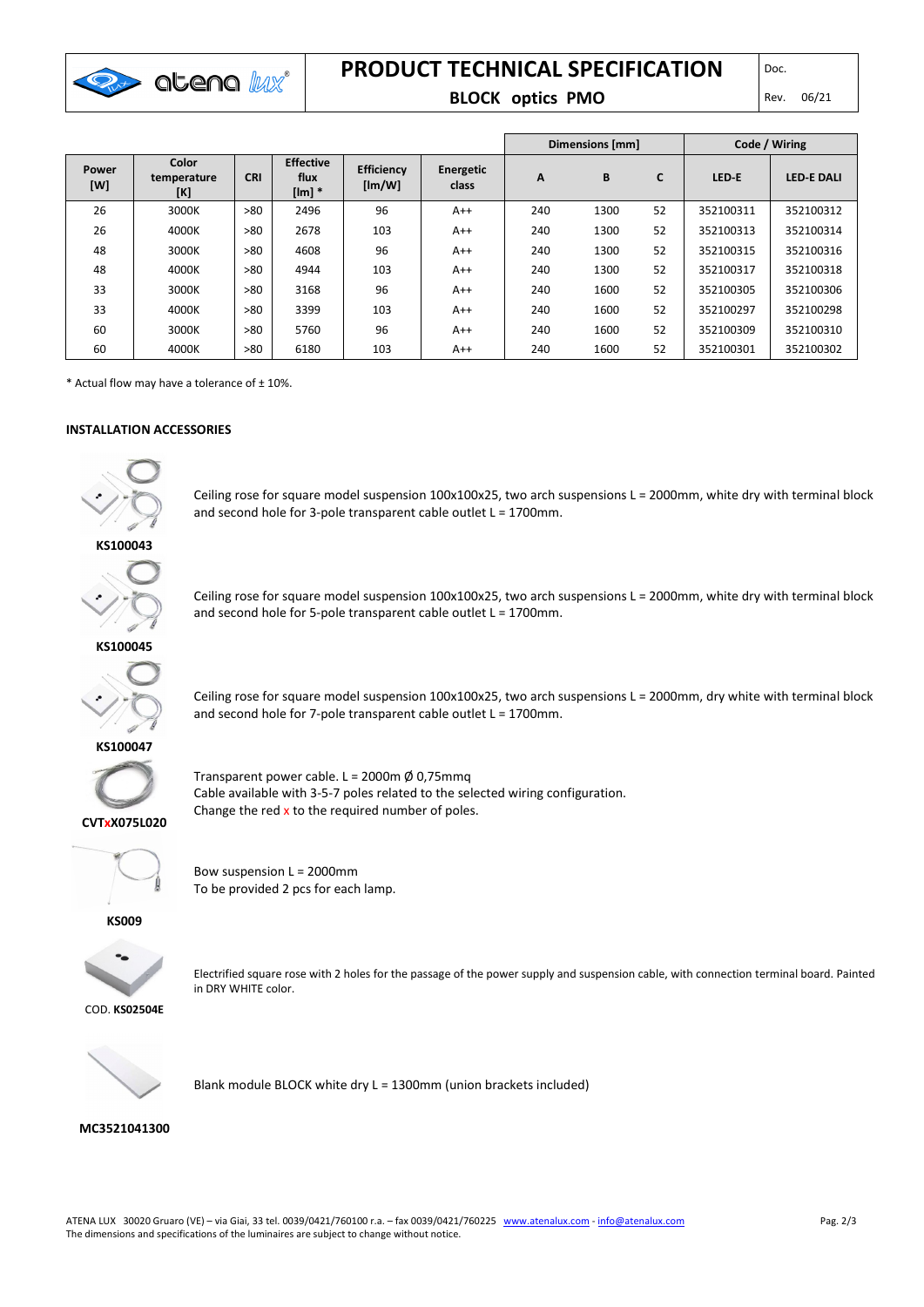

# **PRODUCT TECHNICAL SPECIFICATION**

## **BLOCK optics PMO** Rev. 06/21

|                     |                             |            |                                  |                             |                    | Dimensions [mm] |      |    | Code / Wiring |                   |
|---------------------|-----------------------------|------------|----------------------------------|-----------------------------|--------------------|-----------------|------|----|---------------|-------------------|
| <b>Power</b><br>[W] | Color<br>temperature<br>[K] | <b>CRI</b> | <b>Effective</b><br>flux<br>[Im] | <b>Efficiency</b><br>[Im/W] | Energetic<br>class | A               | B    | C  | LED-E         | <b>LED E DALI</b> |
| 26                  | 3000K                       | >80        | 2496                             | 96                          | $A++$              | 240             | 1300 | 52 | 352100311     | 352100312         |
| 26                  | 4000K                       | >80        | 2678                             | 103                         | $A++$              | 240             | 1300 | 52 | 352100313     | 352100314         |
| 48                  | 3000K                       | >80        | 4608                             | 96                          | $A++$              | 240             | 1300 | 52 | 352100315     | 352100316         |
| 48                  | 4000K                       | >80        | 4944                             | 103                         | $A++$              | 240             | 1300 | 52 | 352100317     | 352100318         |
| 33                  | 3000K                       | >80        | 3168                             | 96                          | $A++$              | 240             | 1600 | 52 | 352100305     | 352100306         |
| 33                  | 4000K                       | >80        | 3399                             | 103                         | $A++$              | 240             | 1600 | 52 | 352100297     | 352100298         |
| 60                  | 3000K                       | >80        | 5760                             | 96                          | $A++$              | 240             | 1600 | 52 | 352100309     | 352100310         |
| 60                  | 4000K                       | >80        | 6180                             | 103                         | $A++$              | 240             | 1600 | 52 | 352100301     | 352100302         |

 $*$  Actual flow may have a tolerance of  $\pm$  10%.

#### **INSTALLATION ACCESSORIES**



Ceiling rose for square model suspension 100x100x25, two arch suspensions L = 2000mm, white dry with terminal block and second hole for 3-pole transparent cable outlet L = 1700mm.



Ceiling rose for square model suspension 100x100x25, two arch suspensions L = 2000mm, white dry with terminal block and second hole for 5-pole transparent cable outlet L = 1700mm.



Ceiling rose for square model suspension 100x100x25, two arch suspensions L = 2000mm, dry white with terminal block and second hole for 7-pole transparent cable outlet L = 1700mm.





Transparent power cable. L = 2000m  $\emptyset$  0,75mmq Cable available with 3-5-7 poles related to the selected wiring configuration. Change the red  $x$  to the required number of poles.



Bow suspension L = 2000mm To be provided 2 pcs for each lamp.

#### **KS009**



Electrified square rose with 2 holes for the passage of the power supply and suspension cable, with connection terminal board. Painted in DRY WHITE color.



Blank module BLOCK white dry L = 1300mm (union brackets included)

#### **MC3521041300**